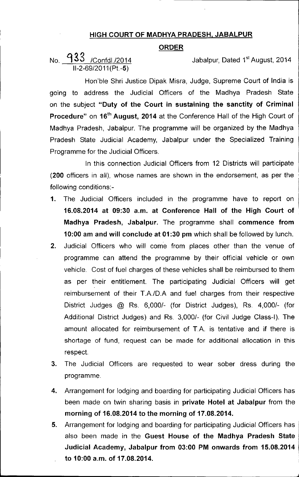## HIGH COURT OF MADHYA PRADESH, JABALPUR

## ORDER

No. l) 33 *IConfdl.l2014* Jabalpur, Dated 1 *11-2-69/2011* (Pt.-5)

Jabalpur, Dated 1<sup>st</sup> August, 2014

Hon'ble Shri Justice Dipak Misra, Judge, Supreme Court of India is going to address the Judicial Officers of the Madhya Pradesh State on the subject "Duty of the Court in sustaining the sanctity of Criminal Procedure" on 16<sup>th</sup> August, 2014 at the Conference Hall of the High Court of Madhya Pradesh, Jabalpur. The programme will be organized by the Madhya Pradesh State Judicial Academy, Jabalpur under the Specialized Training Programme for the Judicial Officers.

In this connection Judicial Officers from 12 Districts will participate (200 officers in all), whose names are shown in the endorsement, as per the following conditions:-

- 1. The Judicial Officers included in the programme have to report on 16.08.2014 at 09:30 a.m. at Conference Hall of the High Court of Madhya Pradesh, Jabalpur. The programme shall commence from 10:00 am and will conclude at 01:30 pm which shall be followed by lunch.
- 2. Judicial Officers who will come from places other than the venue of programme can attend the programme by their official vehicle or own vehicle. Cost of fuel charges of these vehicles shall be reimbursed to them as per their entitlement. The participating Judicial Officers will get reimbursement of their *TA/D.A* and fuel charges from their respective District Judges @ Rs. *6,0001-* (for District Judges), Rs. *4,0001-* (for Additional District Judges) and Rs. *3,0001-* (for Civil Judge Class-I). The amount allocated for reimbursement of T.A. is tentative and if there is shortage of fund, request can be made for additional allocation in this respect.
- 3. The Judicial Officers are requested to wear sober dress during the programme.
- 4. Arrangement for lodging and boarding for participating Judicial Officers has been made on twin sharing basis in private Hotel at Jabalpur from the morning of 16.08.2014 to the morning of 17.08.2014.
- 5. Arrangement for lodging and boarding for participating Judicial Officers has also been made in the Guest House of the Madhya Pradesh State Judicial Academy, Jabalpur from 03:00 PM onwards from 15.08.2014 to 10:00 a.m. of 17.08.2014.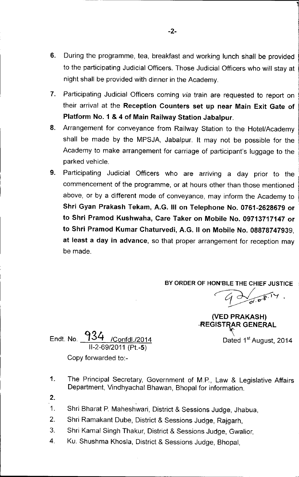- 6. During the programme, tea, breakfast and working lunch shall be provided to the participating Judicial Officers. Those Judicial Officers who will stay at night shall be provided with dinner in the Academy.
- 7. Participating Judicial Officers coming *via* train are requested to report on their arrival at the Reception Counters set up near Main Exit Gate of Platform NO.1 & 4 of Main Railway Station Jabalpur.
- 8. Arrangement for conveyance from Railway Station to the Hotel/Academy shall be made by the MPSJA, Jabalpur. It may not be possible for the Academy to make arrangement for carriage of participant's luggage to the parked vehicle.
- 9. Participating Judicial Officers who are arriving a day prior to the commencement of the programme, or at hours other than those mentioned above, or by a different mode of conveyance, may inform the Academy to Shri Gyan Prakash Tekam, A.G. III on Telephone No. 0761-2628679 or to Shri Pramod Kushwaha, Care Taker on Mobile No. 09713717147 or to Shri Pramod Kumar Chaturvedi, A.G. II on Mobile No. 08878747939, at least a day in advance, so that proper arrangement for reception may be made.

BY ORDER OF HON'BLE THE CHIEF JUSTICE

 $\subset_{\mathcal{C}}$  $4\frac{1}{10^{1.7}}$ 

,

(VEO PRAKASH) .REGISTRAR GENERAL

Dated 1<sup>st</sup> August, 2014

.<br>...

Endt. No. 934 /Confdl./2014 11-2-69/2011(Pt.-5)

Copy forwarded to:-

- 1. The Principal Secretary, Government of M.P., Law & Legislative Affairs Department, Vindhyachal Bhawan, Bhopal for information.
- 2.
- 1. Shri Bharat P. Maheshwari, District & Sessions Judge, Jhabua,
- 2. Shri Ramakant Dube, District & Sessions Judge, Rajgarh,
- 3. Shri Kamal Singh Thakur, District & Sessions Judge, Gwalior,
- 4. Ku. Shushma Khosla, District & Sessions Judge, Bhopal,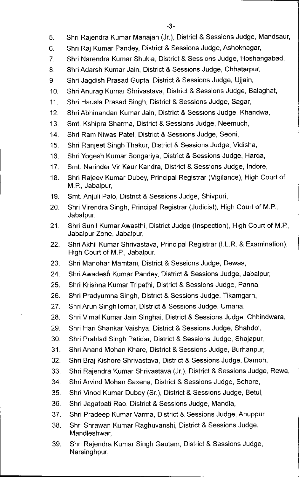- 5. Shri Rajendra Kumar Mahajan (Jr.), District & Sessions Judge, Mandsaur,
- 6. Shri Raj Kumar Pandey, District & Sessions Judge, Ashoknagar,
- 7. Shri Narendra Kumar Shukla, District & Sessions Judge, Hoshangabad,
- 8. Shri Adarsh Kumar Jain, District & Sessions Judge, Chhatarpur,
- 9. Shri Jagdish Prasad Gupta, District & Sessions Judge, Ujjain,
- 10. Shri Anurag Kumar Shrivastava, District & Sessions Judge, Balaghat,
- 11. Shri Hausla Prasad Singh, District & Sessions Judge, Sagar,
- 12. Shri Abhinandan Kumar Jain, District & Sessions Judge, Khandwa,
- 13. Smt. Kshipra Sharma, District & Sessions Judge, Neemuch,
- 14. Shri Ram Niwas Patel, District & Sessions Judge, Seoni,
- 15. Shri Ranjeet Singh Thakur, District & Sessions Judge, Vidisha,
- 16. Shri Yogesh Kumar Songariya, District & Sessions Judge, Harda,
- 17. Smt. Narinder Vir Kaur Kandra, District & Sessions Judge, Indore,
- 18. Shri Rajeev Kumar Dubey, Principal Registrar (Vigilance), High Court of M.P., Jabalpur,
- 19. Smt. Anjuli Palo, District & Sessions Judge, Shivpuri,
- 20. Shri Virendra Singh, Principal Registrar (Judicial), High Court of M.P., Jabalpur,
- 21. Shri Sunil Kumar Awasthi, District Judge (Inspection), High Court of M.P., Jabalpur Zone, Jabalpur,
- 22. Shri Akhil Kumar Shrivastava, Principal Registrar (I.L.R. & Examination), High Court of M.P., Jabalpur.
- 23. Shri Manohar Mamtani, District & Sessions Judge, Dewas,
- 24. Shri Awadesh Kumar Pandey, District & Sessions Judge, Jabalpur,
- 25. Shri Krishna Kumar Tripathi, District & Sessions Judge, Panna,
- 26. Shri Pradyumna Singh, District & Sessions Judge, Tikamgarh,
- 27. Shri Arun SinghTomar, District & Sessions Judge, Umaria,
- 28. Shri Vimal Kumar Jain Singhai, District & Sessions Judge, Chhindwara,
- 29. Shri Hari Shankar Vaishya, District & Sessions Judge, Shahdol,
- 30. Shri Prahlad Singh Patidar, District & Sessions Judge, Shajapur,
- 31. Shri Anand Mohan Khare, District & Sessions Judge, Burhanpur,
- 32. Shri Braj Kishore Shrivastava, District & Sessions Judge, Damoh,
- 33. Shri Rajendra Kumar Shrivastava (Jr.), District & Sessions Judge, Rewa,
- 34. Shri Arvind Mohan Saxena, District & Sessions Judge, Sehore,
- 35. Shri Vinod Kumar Dubey (Sr.), District & Sessions Judge, Betul,
- 36. Shri Jagatpati Rao, District & Sessions Judge, Mandla,
- 37. Shri Pradeep Kumar Varma, District & Sessions Judge, Anuppur,
- 38. Shri Shrawan Kumar Raghuvanshi, District & Sessions Judge, Mandleshwar,
- 39. Shri Rajendra Kumar Singh Gautam, District & Sessions Judge, Narsinghpur,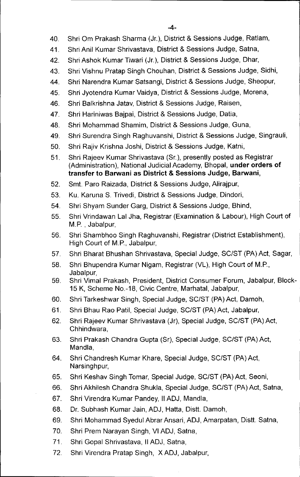- 40. Shri Om Prakash Sharma (Jr.), District & Sessions Judge, Ratlam,
- 41. Shri Anil Kumar Shrivastava, District & Sessions Judge, Satna,
- 42. Shri Ashok Kumar Tiwari (Jr.), District & Sessions Judge, Dhar,
- 43. Shri Vishnu Pratap Singh Chouhan, District & Sessions Judge, Sidhi,
- 44. Shri Narendra Kumar Satsangi, District & Sessions Judge, Sheopur,
- 45. Shri Jyotendra Kumar Vaidya, District & Sessions Judge, Morena,
- 46. Shri Balkrishna Jatav, District & Sessions Judge, Raisen,
- 47. Shri Hariniwas Bajpai, District & Sessions Judge, Datia,
- 48. Shri Mohammad Shamim, District & Sessions Judge, Guna,
- 49. Shri Surendra Singh Raghuvanshi, District & Sessions Judge, Singrauli,
- 50. Shri Rajiv Krishna Joshi, District & Sessions Judge, Katni,
- 51. Shri Rajeev Kumar Shrivastava (Sr.), presently posted as Registrar (Administration), National Judicial Academy, Bhopal, **under orders of transfer to Barwani as District & Sessions Judge, Barwani,**
- 52. Smt. Paro Raizada, District & Sessions Judge, Alirajpur,
- 53. Ku. Karuna S. Trivedi, District & Sessions Judge, Dindori,
- 54. Shri Shyam Sunder Garg, District & Sessions Judge, Bhind,
- 55. Shri Vrindawan Lal Jha, Registrar (Examination & Labour), High Court of M.P. , Jabalpur,
- 56. Shri Shambhoo Singh Raghuvanshi, Registrar (District Establishment), High Court of M.P., Jabalpur,
- 57. Shri Bharat Bhushan Shrivastava, Special Judge, SC/ST (PA) Act, Sagar,
- 58. Shri Bhupendra Kumar Nigam, Registrar (VL), High Court of M.P., Jabalpur,
- 59. Shri Vimal Prakash, President, District Consumer Forum, Jabalpur, Block-15 K, Scheme NO.-18, Civic Centre, Marhatal, Jabalpur,
- 60. Shri Tarkeshwar Singh, Special Judge, SC/ST (PA) Act, Damoh,
- 61. Shri Bhau Rao Patil, Special Judge, SC/ST (PA) Act, Jabalpur,
- 62. Shri Rajeev Kumar Shrivastava (Jr), Special Judge, SC/ST (PA) Act, Chhindwara,
- 63. Shri Prakash Chandra Gupta (Sr), Special Judge, SC/ST (PA) Act, Mandla,
- 64. Shri Chandresh Kumar Khare, Special Judge, SC/ST (PA) Act, Narsinghpur,
- 65. Shri Keshav Singh Tomar, Special Judge, SC/ST (PA) Act, Seoni,
- 66. Shri Akhilesh Chandra Shukla, Special Judge, SC/ST (PA) Act, Satna,
- 67. Shri Virendra Kumar Pandey, II ADJ, Mandla,
- 68. Dr. Subhash Kumar Jain, ADJ, Hatta, Distt. Damoh,
- 69. Shri Mohammad Syedul Abrar Ansari, ADJ, Amarpatan, Distt. Satna,
- 70. Shri Prem Narayan Singh, VI ADJ, Satna,
- 71. Shri Gopal Shrivastava, II ADJ, Satna,
- 72. Shri Virendra Pratap Singh, X ADJ, Jabalpur,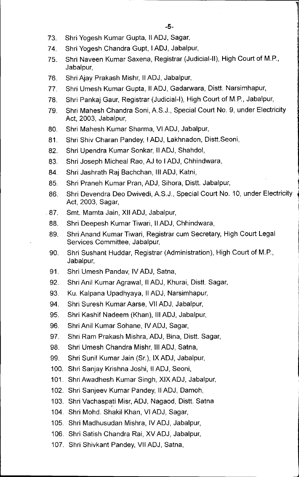- 73. Shri Yogesh Kumar Gupta, II ADJ, Sagar,
- 74. Shri Yogesh Chandra Gupt, I ADJ, Jabalpur,
- 75. Shri Naveen Kumar Saxena, Registrar (Judicial-II), High Court of M.P., Jabalpur,
- 76. Shri Ajay Prakash Mishr, II ADJ, Jabalpur,
- 77. Shri Umesh Kumar Gupta, II ADJ, Gadarwara, Distt. Narsimhapur,
- 78. Shri Pankaj Gaur, Registrar (Judicial-I), High Court of M.P., Jabalpur,
- 79. Shri Mahesh Chandra Soni, A.S.J., Special Court NO.9, under Electricity Act, 2003, Jabalpur,
- 80. Shri Mahesh Kumar Sharma, VI ADJ, Jabalpur,
- 81. Shri Shiv Charan Pandey, I ADJ, Lakhnadon, Distt.Seoni,
- 82. Shri Upendra Kumar Sonkar, II ADJ, Shahdol,
- 83. Shri Joseph Micheal Rao, AJ to I ADJ, Chhindwara,
- 84. Shri Jashrath Raj Bachchan, III ADJ, Katni,
- 85. Shri Praneh Kumar Pran, ADJ, Sihora, Distt. Jabalpur,
- 86. Shri Devendra Deo Dwivedi, A.S.J., Special Court No. 10, under Electricity Act, 2003, Sagar,
- 87. Smt. Mamta Jain, XII ADJ, Jabalpur,
- 88. Shri Deepesh Kumar Tiwari, II ADJ, Chhindwara,
- 89. Shri Anand Kumar Tiwari, Registrar cum Secretary, High Court Legal Services Committee, Jabalpur,
- 90. Shri Sushant Huddar, Registrar (Administration), High Court of M.P., Jabalpur,
- 91. Shri Umesh Pandav, IV ADJ, Satna,
- 92. Shri Anil Kumar Agrawal, II ADJ, Khurai, Distt. Sagar,
- 93. Ku. Kalpana Upadhyaya, II ADJ, Narsimhapur,
- 94. Shri Suresh Kumar Aarse, VII ADJ, Jabalpur,
- 95. Shri Kashif Nadeem (Khan), III ADJ, Jabalpur,
- 96. Shri Anil Kumar Sohane, IV ADJ, Sagar,
- 97. Shri Ram Prakash Mishra, ADJ, Bina, Distt. Sagar,
- 98. Shri Umesh Chandra Mishr, III ADJ, Satna,
- 99. Shri Sunil Kumar Jain (Sr.), IX ADJ, Jabalpur,
- 100. Shri Sanjay Krishna Joshi, II ADJ, Seoni,
- 101. Shri Awadhesh Kumar Singh, XIX ADJ, Jabalpu
- 102. Shri Sanjeev Kumar Pandey, II ADJ, Damoh,
- 103. Shri Vachaspati Misr, ADJ, Nagaod, Distt. Satna
- 104. Shri Mohd. Shakil Khan, VI ADJ, Sagar,
- 105. Shri Madhusudan Mishra, IV ADJ, Jabalpu
- 106. Shri Satish Chandra Rai, XV ADJ, Jabalpu
- 107. Shri Shivkant Pandey, VII ADJ, Satna,

la de la componentation de la partie de la partie de la partie de la partie de la partie de la partie de la pa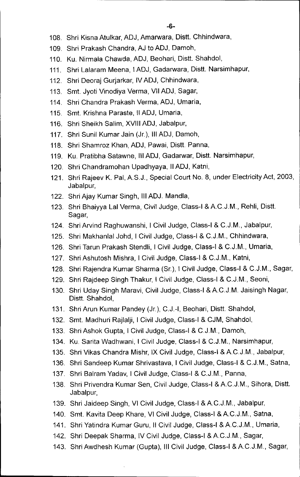- 108. Shri Kisna Atulkar, ADJ, Amarwara, Distt. Chhindwara,
- 109. Shri Prakash Chandra, AJ to ADJ, Damoh,
- 110. Ku. Nirmala Chawda, ADJ, Beohari, Distt. Shahdol,
- 111. Shri Lalaram Meena, I ADJ, Gadarwara, Distt. Narsimhapur,
- 112. Shri Deoraj Gurjarkar, IV ADJ, Chhindwara,
- 113. Smt. Jyoti Vinodiya Verma, VII ADJ, Sagar,
- 114. Shri Chandra Prakash Verma, ADJ, Umaria,
- 115. Smt. Krishna Paraste, II ADJ, Umaria,
- 116. Shri Sheikh Salim, XVIII ADJ, Jabalpur,
- 117. Shri Sunil Kumar Jain (Jr.), III ADJ, Damoh,
- 118. Shri Shamroz Khan, ADJ, Pawai, Distt. Panna,
- 119. Ku. Pratibha Satawne, III ADJ, Gadarwar, Distt. Narsimhapur,
- 120. Shri Chandramohan Upadhyaya, II ADJ, Katni,
- 121. Shri Rajeev K. Pal, A.S.J., Special Court No. 8, under Electricity Act, 2003, Jabalpur,
- 122. Shri Ajay Kumar Singh, III ADJ. Mandla,
- 123. Shri Bhaiyya Lal Verma, Civil Judge, Class-I & AC.J.M., Rehli, Distt. Sagar,
- 124. Shri Arvind Raghuwanshi, I Civil Judge, Class-I & C.J.M., Jabalpur,
- 125. Shri Makhanlal Johd, I Civil Judge, Class-I & C.J.M., Chhindwara,
- 126. Shri Tarun Prakash Stendli, I Civil Judge, Class-I & C.J.M., Umaria,
- 127. Shri Ashutosh Mishra, I Civil Judge, Class-I & C.J.M., Katni,
- 128. Shri Rajendra Kumar Sharma (Sr.), I Civil Judge, Class-I & C.J.M., Sagar,
- 129. Shri Rajdeep Singh Thakur, I Civil Judge, Class-I & C.J.M., Seoni,
- 130. Shri Uday Singh Maravi, Civil Judge, Class-I & A.C.J.M. Jaisingh Nagar, Distt. Shahdol,
- 131. Shri Arun Kumar Pandey (Jr.), C.J.-I, Beohari, Distt. Shahdol,
- 132. Smt. Madhuri Rajlalji, I Civil Judge, Class-I & CJM, Shahdol,
- 133. Shri Ashok Gupta, I Civil Judge, Class-I & C.J.M., Damoh,
- 134. Ku. Sarita Wadhwani, I Civil Judge, Class-I & C.J.M., Narsimhapur,
- 135. Shri Vikas Chandra Mishr, IX Civil Judge, Class-I & A.C.J.M., Jabalpur,
- 136. Shri Sandeep Kumar Shrivastava, I Civil Judge, Class-I & C.J.M., Satna,
- 137. Shri Balram Yadav, I Civil Judge, Class-I & C.J.M., Panna,
- 138. Shri Privendra Kumar Sen, Civil Judge, Class-I & AC.J.M., Sihora, Distt. Jabalpur,
- 139. Shri Jaideep Singh, VI Civil Judge, Class-I & A.C.J.M., Jabalpur,
- 140. Smt. Kavita Deep Khare, VI Civil Judge, Class-I & AC.J.M., Satna,
- 141. Shri Yatindra Kumar Guru, II Civil Judge, Class-I & AC.J.M., Umaria,
- 142. Shri Deepak Sharma, IV Civil Judge, Class-I & A.C.J.M., Sagar,
- 143. Shri Awdhesh Kumar (Gupta), III Civil Judge, Class-I & AC.J.M., Sagar,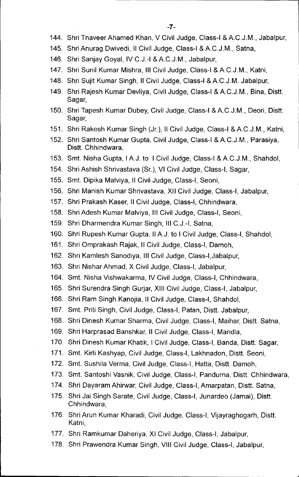- 144. Shri Tnaveer Ahamed Khan, V Civil Judge, Class-I & A.C.J.M., Jabalpur,
- 145. Shri Anurag Dwivedi, Il Civil Judge, Class-I & A.C.J.M., Satna,
- 146. Shri Sanjay Goyal, IV C.J.-I & AC.J.M., Jabalpur,
- 147. Shri Sunil Kumar Mishra, **III** Civil Judge, Class-I &AC.J.M., Katni,
- 148. Shri Sujit Kumar Singh, II Civil Judge, Class-I & A.C.J.M. Jabalpur,
- 149. Shri Rajesh Kumar Devliya, Civil Judge, Class-I & A.C.J.M., Bina, Distt. Sagar,
- 150. Shri Tapesh Kumar Dubey, Civil Judge, Class-I & A.C.J.M., Deori, Distt. Sagar,
- 151. Shri Rakesh Kumar Singh (Jr.), II Civil Judge, Class-I &AC.J.M., Katni,
- 152. Shri Santosh Kumar Gupta, Civil Judge, Class-I & A.C.J.M., Parasiya, Distt. Chhindwara,
- 153. Smt. Nisha Gupta, I A.J. to I Civil Judge, Class-I & A.C.J.M., Shahdol,
- 154. Shri Ashish Shrivastava (Sr.), VI Civil Judge, Class-I, Sagar,
- 155. Smt. Dipika Malviya, **II** Civil Judge, Class-I, Seoni,
- 156. Shri Manish Kumar Shrivastava, XII Civil Judge, Class-I, Jabalpur,
- 157. Shri Prakash Kaser, **II** Civil Judge, Class-I, Chhindwara,
- 158. Shri Adesh Kumar Malviya, **III** Civil Judge, Class-I, Seoni,
- 159. Shri Dharmendra Kumar Singh, **III** C.J.-I, Satna,
- 160. Shri Rupesh Kumar Gupta, II AJ. to I Civil Judge, Class-I, Shahdol,
- 161. Shri Omprakash Rajak, II Civil Judge, Class-I, Damoh,
- 162. Shri Kamlesh Sanodiya, **III** Civil Judge, Class-I,Jabalpur,
- 163. Shri Nishar Ahmad, X Civil Judge, Class-I, Jabalpur,
- 164. Smt. Nisha Vishwakarma, IV Civil Judge, Class-I, Chhindwara,
- 165. Shri Surendra Singh Gurjar, XIII Civil Judge, Class-I, Jabalpur,
- 166. Shri Ram Singh Kanojia, II Civil Judge, Class-I, Shahdol,
- 167. Smt. Priti Singh, Civil Judge, Class~l, Patan, Distt. Jabalpur,
- 168. Shri Dinesh Kumar Sharma, Civil Judge, Class-I, Maihar, Distt. Satna,
- 169. Shri Harprasad Banshkar, II Civil Judge, Class-I, Mandla,
- 170. Shri Dinesh Kumar Khatik, I Civil Judge, Class-I, Banda, Distt. Sagar,
- 171. Smt. Kirti Kashyap, Civil Judge, Class-I, Lakhnadon, Distt. Seoni,
- 172. Smt. Sushila Verma, Civil Judge, Class-I, Hatta, Distt. Damoh,
- 173. Smt. Santoshi Vasnik, Civil Judge, Class-I, Pandurna, Distt. Chhindwara,
- 174. Shri Dayaram Ahirwar, Civil Judge, Class-I, Amarpatan, Distt. Satna,
- 175. Shri Jai Singh Sarate, Civil Judge, Class-I, Junardeo (Jamai), Distt. Chhindwara,
- 176. Shri Arun Kumar Kharadi, Civil Judge, Class-I, Vijayraghogarh, Distt. Katni,
- 177. Shri Ramkumar Daheriya, XI Civil Judge, Class-I, Jabalpur,
- 178. Shri Prawendra Kumar Singh, VIII Civil Judge, Class-I, Jabalpur,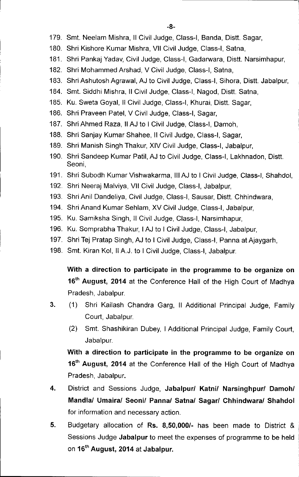- 179. Smt. Neelam Mishra, II Civil Judge, Class-I, Banda, Distt. Sagar,
- 180. Shri Kishore Kumar Mishra, VII Civil Judge, Class-I, Satna,
- 181. Shri Pankaj Yadav, Civil Judge, Class-I, Gadarwara, Distt. Narsimhapur,
- 182. Shri Mohammed Arshad, V Civil Judge, Class-I, Satna,
- 183. Shri Ashutosh Agrawal, AJ to Civil Judge, Class-I, Sihora, Distt. Jabalpur,
- 184. Smt. Siddhi Mishra, II Civil Judge, Class-I, Nagod, Distt. Satna,
- 185. Ku. Sweta Goyal, II Civil Judge, Class-I, Khurai, Distt. Sagar,
- 186. Shri Praveen Patel, V Civil Judge, Class-I, Sagar,
- 187. Shri Ahmed Raza, II AJ to I Civil Judge, Class-I, Damoh,
- 188. Shri Sanjay Kumar Shahee, II Civil Judge, Class-I, Sagar,
- 189. Shri Manish Singh Thakur, XIV Civil Judge, Class-I, Jabalpur,
- 190. Shri Sandeep Kumar Pati!, AJ to Civil Judge, Class-I, Lakhnadon, Distt. Seoni,
- 191. Shri Subodh Kumar Vishwakarma, III AJ to I Civil Judge, Class-I, Shahdol,
- 192. Shri Neeraj Malviya, VII Civil Judge, Class-I, Jabalpur,
- 193. Shri Anil Dandeliya, Civil Judge, Class-I, Sausar, Distt. Chhindwara,
- 194. Shri Anand Kumar Sehlam, XV Civil Judge, Class-I, Jabalpur,
- 195. Ku. Samiksha Singh, II Civil Judge, Class-I, Narsimhapur,
- 196. Ku. Somprabha Thakur, I AJ to I Civil Judge, Class-I, Jabalpur,
- 197. Shri Tej Pratap Singh, AJ to I Civil Judge, Class-I, Panna at Ajaygarh,
- 198. Smt. Kiran Kol, II A.J. to I Civil Judge, Class-I, Jabalpur.

With a direction to participate in the programme to be organize on 16<sup>th</sup> August, 2014 at the Conference Hall of the High Court of Madhya Pradesh, Jabalpur.

- 3. (1) Shri Kailash Chandra Garg, II Additional Principal Judge, Family Court, Jabalpur.
	- (2) Smt. Shashikiran Dubey, I Additional Principal Judge, Family Court, Jabalpur.

With a direction to participate in the programme to be organize on 16<sup>th</sup> August, 2014 at the Conference Hall of the High Court of Madhya Pradesh, Jabalpur.

- 4. District and Sessions Judge, Jabalpurl Katnil Narsinghpurl *Damohl* Mandlal Umairal *Seonil* Pannal *Satnal Sagarl* Chhindwaral Shahdol for information and necessary action.
- 5. Budgetary allocation of Rs. 8,50,000/- has been made to District & Sessions Judge Jabalpur to meet the expenses of programme to be held on 16<sup>th</sup> August, 2014 at Jabalpur.